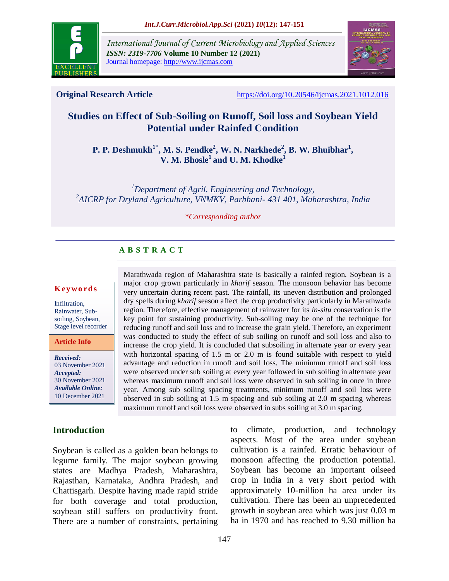

*International Journal of Current Microbiology and Applied Sciences ISSN: 2319-7706* **Volume 10 Number 12 (2021)**  Journal homepage: http://www.ijcmas.com



**Original Research Article** <https://doi.org/10.20546/ijcmas.2021.1012.016>

# **Studies on Effect of Sub-Soiling on Runoff, Soil loss and Soybean Yield Potential under Rainfed Condition**

**P. P. Deshmukh<sup>1\*</sup>, M. S. Pendke<sup>2</sup>, W. N. Narkhede<sup>2</sup>, B. W. Bhuibhar<sup>1</sup>, V. M. Bhosle<sup>1</sup>and U. M. Khodke<sup>1</sup>**

*<sup>1</sup>Department of Agril. Engineering and Technology, 2 AICRP for Dryland Agriculture, VNMKV, Parbhani- 431 401, Maharashtra, India*

*\*Corresponding author*

# **A B S T R A C T**

#### **K ey w o rd s**

Infiltration, Rainwater, Subsoiling, Soybean, Stage level recorder

**Article Info**

*Received:*  03 November 2021 *Accepted:*  30 November 2021 *Available Online:* 10 December 2021

## **Introduction**

Soybean is called as a golden bean belongs to legume family. The major soybean growing states are Madhya Pradesh, Maharashtra, Rajasthan, Karnataka, Andhra Pradesh, and Chattisgarh. Despite having made rapid stride for both coverage and total production, soybean still suffers on productivity front. There are a number of constraints, pertaining

Marathwada region of Maharashtra state is basically a rainfed region. Soybean is a major crop grown particularly in *kharif* season. The monsoon behavior has become very uncertain during recent past. The rainfall, its uneven distribution and prolonged dry spells during *kharif* season affect the crop productivity particularly in Marathwada region. Therefore, effective management of rainwater for its *in-situ* conservation is the key point for sustaining productivity. Sub-soiling may be one of the technique for reducing runoff and soil loss and to increase the grain yield. Therefore, an experiment was conducted to study the effect of sub soiling on runoff and soil loss and also to increase the crop yield. It is concluded that subsoiling in alternate year or every year with horizontal spacing of 1.5 m or 2.0 m is found suitable with respect to yield advantage and reduction in runoff and soil loss. The minimum runoff and soil loss were observed under sub soiling at every year followed in sub soiling in alternate year whereas maximum runoff and soil loss were observed in sub soiling in once in three year. Among sub soiling spacing treatments, minimum runoff and soil loss were observed in sub soiling at 1.5 m spacing and sub soiling at 2.0 m spacing whereas maximum runoff and soil loss were observed in subs soiling at 3.0 m spacing.

> to climate, production, and technology aspects. Most of the area under soybean cultivation is a rainfed. Erratic behaviour of monsoon affecting the production potential. Soybean has become an important oilseed crop in India in a very short period with approximately 10-million ha area under its cultivation. There has been an unprecedented growth in soybean area which was just 0.03 m ha in 1970 and has reached to 9.30 million ha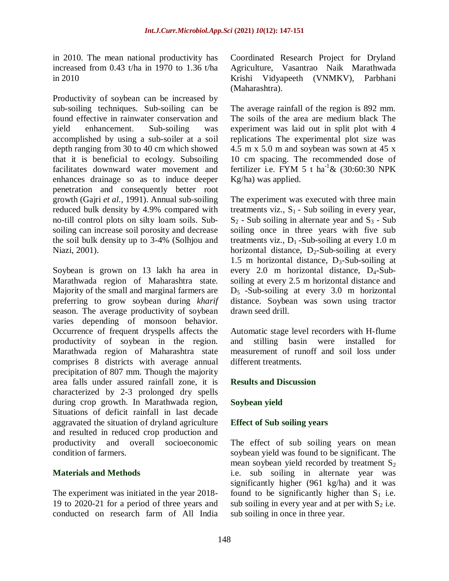in 2010. The mean national productivity has increased from 0.43 t/ha in 1970 to 1.36 t/ha in 2010

Productivity of soybean can be increased by sub-soiling techniques. Sub-soiling can be found effective in rainwater conservation and yield enhancement. Sub-soiling was accomplished by using a sub-soiler at a soil depth ranging from 30 to 40 cm which showed that it is beneficial to ecology. Subsoiling facilitates downward water movement and enhances drainage so as to induce deeper penetration and consequently better root growth (Gajri *et al.,* 1991). Annual sub-soiling reduced bulk density by 4.9% compared with no-till control plots on silty loam soils. Subsoiling can increase soil porosity and decrease the soil bulk density up to 3-4% (Solhjou and Niazi, 2001).

Soybean is grown on 13 lakh ha area in Marathwada region of Maharashtra state. Majority of the small and marginal farmers are preferring to grow soybean during *kharif* season. The average productivity of soybean varies depending of monsoon behavior. Occurrence of frequent dryspells affects the productivity of soybean in the region. Marathwada region of Maharashtra state comprises 8 districts with average annual precipitation of 807 mm. Though the majority area falls under assured rainfall zone, it is characterized by 2-3 prolonged dry spells during crop growth. In Marathwada region, Situations of deficit rainfall in last decade aggravated the situation of dryland agriculture and resulted in reduced crop production and productivity and overall socioeconomic condition of farmers.

## **Materials and Methods**

The experiment was initiated in the year 2018- 19 to 2020-21 for a period of three years and conducted on research farm of All India Coordinated Research Project for Dryland Agriculture, Vasantrao Naik Marathwada Krishi Vidyapeeth (VNMKV), Parbhani (Maharashtra).

The average rainfall of the region is 892 mm. The soils of the area are medium black The experiment was laid out in split plot with 4 replications The experimental plot size was 4.5 m  $x$  5.0 m and soybean was sown at 45  $x$ 10 cm spacing. The recommended dose of fertilizer i.e. FYM 5 t ha<sup>-1</sup> &  $(30:60:30)$  NPK Kg/ha) was applied.

The experiment was executed with three main treatments viz.,  $S_1$  - Sub soiling in every year,  $S_2$  - Sub soiling in alternate year and  $S_3$  - Sub soiling once in three years with five sub treatments viz.,  $D_1$ -Sub-soiling at every 1.0 m horizontal distance,  $D_2$ -Sub-soiling at every 1.5 m horizontal distance,  $D_3$ -Sub-soiling at every  $2.0$  m horizontal distance,  $D_4$ -Subsoiling at every 2.5 m horizontal distance and  $D_5$  -Sub-soiling at every 3.0 m horizontal distance. Soybean was sown using tractor drawn seed drill.

Automatic stage level recorders with H-flume and stilling basin were installed for measurement of runoff and soil loss under different treatments.

## **Results and Discussion**

## **Soybean yield**

## **Effect of Sub soiling years**

The effect of sub soiling years on mean soybean yield was found to be significant. The mean soybean yield recorded by treatment  $S_2$ i.e. sub soiling in alternate year was significantly higher (961 kg/ha) and it was found to be significantly higher than  $S_1$  i.e. sub soiling in every year and at per with  $S_2$  i.e. sub soiling in once in three year.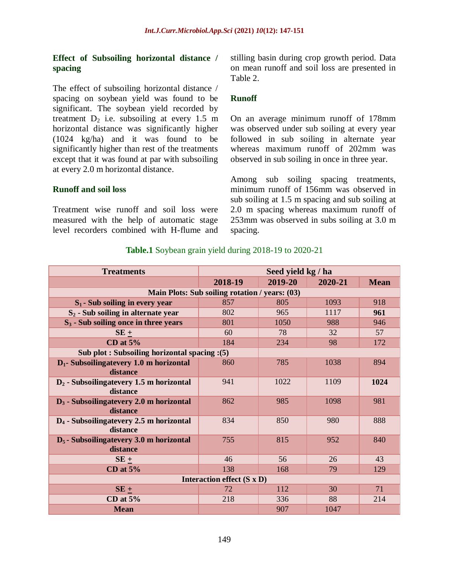#### **Effect of Subsoiling horizontal distance / spacing**

The effect of subsoiling horizontal distance / spacing on soybean yield was found to be significant. The soybean yield recorded by treatment  $D_2$  i.e. subsoiling at every 1.5 m horizontal distance was significantly higher (1024 kg/ha) and it was found to be significantly higher than rest of the treatments except that it was found at par with subsoiling at every 2.0 m horizontal distance.

#### **Runoff and soil loss**

Treatment wise runoff and soil loss were measured with the help of automatic stage level recorders combined with H-flume and stilling basin during crop growth period. Data on mean runoff and soil loss are presented in Table 2.

#### **Runoff**

On an average minimum runoff of 178mm was observed under sub soiling at every year followed in sub soiling in alternate year whereas maximum runoff of 202mm was observed in sub soiling in once in three year.

Among sub soiling spacing treatments, minimum runoff of 156mm was observed in sub soiling at 1.5 m spacing and sub soiling at 2.0 m spacing whereas maximum runoff of 253mm was observed in subs soiling at 3.0 m spacing.

| <b>Treatments</b>                                        | Seed yield kg / ha |         |         |             |  |  |  |  |
|----------------------------------------------------------|--------------------|---------|---------|-------------|--|--|--|--|
|                                                          | 2018-19            | 2019-20 | 2020-21 | <b>Mean</b> |  |  |  |  |
| Main Plots: Sub soiling rotation / years: (03)           |                    |         |         |             |  |  |  |  |
| $S_1$ - Sub soiling in every year                        | 857                | 805     | 1093    | 918         |  |  |  |  |
| $S_2$ - Sub soiling in alternate year                    | 802                | 965     | 1117    | 961         |  |  |  |  |
| $S_3$ - Sub soiling once in three years                  | 801                | 1050    | 988     | 946         |  |  |  |  |
| $SE +$                                                   | 60                 | 78      | 32      | 57          |  |  |  |  |
| CD at $5%$                                               | 184                | 234     | 98      | 172         |  |  |  |  |
| Sub plot: Subsoiling horizontal spacing : (5)            |                    |         |         |             |  |  |  |  |
| $D_1$ - Subsoilingatevery 1.0 m horizontal               | 860                | 785     | 1038    | 894         |  |  |  |  |
| distance                                                 |                    |         |         |             |  |  |  |  |
| $D_2$ - Subsoiling at every 1.5 m horizontal             | 941                | 1022    | 1109    | 1024        |  |  |  |  |
| distance                                                 |                    |         |         |             |  |  |  |  |
| $D_3$ - Subsoiling at every 2.0 m horizontal             | 862                | 985     | 1098    | 981         |  |  |  |  |
| distance                                                 |                    |         |         |             |  |  |  |  |
| $D_4$ - Subsoiling at every 2.5 m horizontal<br>distance | 834                | 850     | 980     | 888         |  |  |  |  |
| $D_5$ - Subsoilingatevery 3.0 m horizontal               | 755                | 815     | 952     | 840         |  |  |  |  |
| distance                                                 |                    |         |         |             |  |  |  |  |
| $SE +$                                                   | 46                 | 56      | 26      | 43          |  |  |  |  |
| CD at $5%$                                               | 138                | 168     | 79      | 129         |  |  |  |  |
| Interaction effect $(S \times D)$                        |                    |         |         |             |  |  |  |  |
| $SE +$                                                   | 72                 | 112     | 30      | 71          |  |  |  |  |
| CD at $5%$                                               | 218                | 336     | 88      | 214         |  |  |  |  |
| <b>Mean</b>                                              |                    | 907     | 1047    |             |  |  |  |  |

#### **Table.1** Soybean grain yield during 2018-19 to 2020-21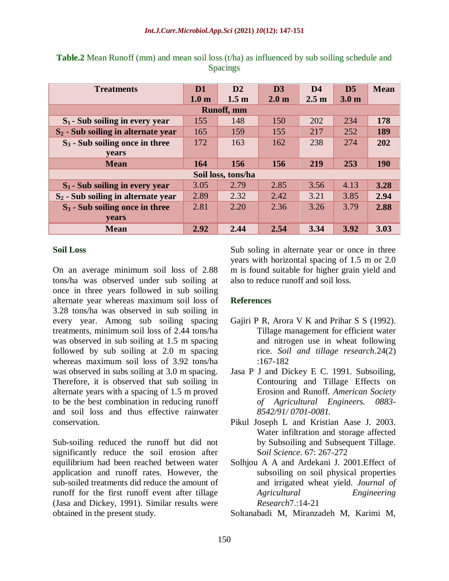| <b>Treatments</b>                     | D1               | D2               | D <sub>3</sub>   | D <sub>4</sub>   | D <sub>5</sub>   | <b>Mean</b> |  |  |  |
|---------------------------------------|------------------|------------------|------------------|------------------|------------------|-------------|--|--|--|
|                                       | 1.0 <sub>m</sub> | 1.5 <sub>m</sub> | 2.0 <sub>m</sub> | 2.5 <sub>m</sub> | 3.0 <sub>m</sub> |             |  |  |  |
| <b>Runoff</b> , mm                    |                  |                  |                  |                  |                  |             |  |  |  |
| $S_1$ - Sub soiling in every year     | 155              | 148              | 150              | 202              | 234              | 178         |  |  |  |
| $S_2$ - Sub soiling in alternate year | 165              | 159              | 155              | 217              | 252              | 189         |  |  |  |
| $S_3$ - Sub soiling once in three     | 172              | 163              | 162              | 238              | 274              | 202         |  |  |  |
| <b>vears</b>                          |                  |                  |                  |                  |                  |             |  |  |  |
| <b>Mean</b>                           | 164              | 156              | 156              | 219              | 253              | <b>190</b>  |  |  |  |
| Soil loss, tons/ha                    |                  |                  |                  |                  |                  |             |  |  |  |
| $S_1$ - Sub soiling in every year     | 3.05             | 2.79             | 2.85             | 3.56             | 4.13             | 3.28        |  |  |  |
| $S_2$ - Sub soiling in alternate year | 2.89             | 2.32             | 2.42             | 3.21             | 3.85             | 2.94        |  |  |  |
| $S_3$ - Sub soiling once in three     | 2.81             | 2.20             | 2.36             | 3.26             | 3.79             | 2.88        |  |  |  |
| years                                 |                  |                  |                  |                  |                  |             |  |  |  |
| <b>Mean</b>                           | 2.92             | 2.44             | 2.54             | 3.34             | 3.92             | 3.03        |  |  |  |

**Table.2** Mean Runoff (mm) and mean soil loss (t/ha) as influenced by sub soiling schedule and Spacings

#### **Soil Loss**

On an average minimum soil loss of 2.88 tons/ha was observed under sub soiling at once in three years followed in sub soiling alternate year whereas maximum soil loss of 3.28 tons/ha was observed in sub soiling in every year. Among sub soiling spacing treatments, minimum soil loss of 2.44 tons/ha was observed in sub soiling at 1.5 m spacing followed by sub soiling at 2.0 m spacing whereas maximum soil loss of 3.92 tons/ha was observed in subs soiling at 3.0 m spacing. Therefore, it is observed that sub soiling in alternate years with a spacing of 1.5 m proved to be the best combination in reducing runoff and soil loss and thus effective rainwater conservation.

Sub-soiling reduced the runoff but did not significantly reduce the soil erosion after equilibrium had been reached between water application and runoff rates. However, the sub-soiled treatments did reduce the amount of runoff for the first runoff event after tillage (Jasa and Dickey, 1991). Similar results were obtained in the present study.

Sub soling in alternate year or once in three years with horizontal spacing of 1.5 m or 2.0 m is found suitable for higher grain yield and also to reduce runoff and soil loss.

## **References**

- Gajiri P R, Arora V K and Prihar S S (1992). Tillage management for efficient water and nitrogen use in wheat following rice. *Soil and tillage research*.24(2) :167-182
- Jasa P J and Dickey E C. 1991. Subsoiling, Contouring and Tillage Effects on Erosion and Runoff. *American Society of Agricultural Engineers. 0883- 8542/91/ 0701-0081.*
- Pikul Joseph L and Kristian Aase J. 2003. Water infiltration and storage affected by Subsoiling and Subsequent Tillage. S*oil Science*. 67: 267-272
- Solhjou A A and Ardekani J. 2001.Effect of subsoiling on soil physical properties and irrigated wheat yield. *Journal of Agricultural Engineering Research*7.:14-21

Soltanabadi M, Miranzadeh M, Karimi M,